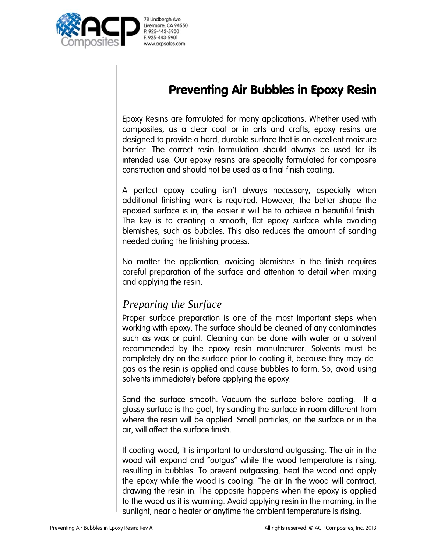

# Preventing Air Bubbles in Epoxy Resin

Epoxy Resins are formulated for many applications. Whether used with composites, as a clear coat or in arts and crafts, epoxy resins are designed to provide a hard, durable surface that is an excellent moisture barrier. The correct resin formulation should always be used for its intended use. Our epoxy resins are specialty formulated for composite construction and should not be used as a final finish coating.

A perfect epoxy coating isn't always necessary, especially when additional finishing work is required. However, the better shape the epoxied surface is in, the easier it will be to achieve a beautiful finish. The key is to creating a smooth, flat epoxy surface while avoiding blemishes, such as bubbles. This also reduces the amount of sanding needed during the finishing process.

No matter the application, avoiding blemishes in the finish requires careful preparation of the surface and attention to detail when mixing and applying the resin.

## *Preparing the Surface*

Proper surface preparation is one of the most important steps when working with epoxy. The surface should be cleaned of any contaminates such as wax or paint. Cleaning can be done with water or a solvent recommended by the epoxy resin manufacturer. Solvents must be completely dry on the surface prior to coating it, because they may degas as the resin is applied and cause bubbles to form. So, avoid using solvents immediately before applying the epoxy.

Sand the surface smooth. Vacuum the surface before coating. If a glossy surface is the goal, try sanding the surface in room different from where the resin will be applied. Small particles, on the surface or in the air, will affect the surface finish.

If coating wood, it is important to understand outgassing. The air in the wood will expand and "outgas" while the wood temperature is rising, resulting in bubbles. To prevent outgassing, heat the wood and apply the epoxy while the wood is cooling. The air in the wood will contract, drawing the resin in. The opposite happens when the epoxy is applied to the wood as it is warming. Avoid applying resin in the morning, in the sunlight, near a heater or anytime the ambient temperature is rising.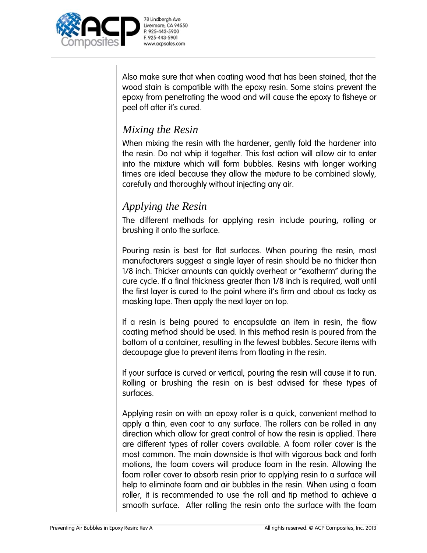

Also make sure that when coating wood that has been stained, that the wood stain is compatible with the epoxy resin. Some stains prevent the epoxy from penetrating the wood and will cause the epoxy to fisheye or peel off after it's cured.

## *Mixing the Resin*

When mixing the resin with the hardener, gently fold the hardener into the resin. Do not whip it together. This fast action will allow air to enter into the mixture which will form bubbles. Resins with longer working times are ideal because they allow the mixture to be combined slowly, carefully and thoroughly without injecting any air.

## *Applying the Resin*

The different methods for applying resin include pouring, rolling or brushing it onto the surface.

Pouring resin is best for flat surfaces. When pouring the resin, most manufacturers suggest a single layer of resin should be no thicker than 1/8 inch. Thicker amounts can quickly overheat or "exotherm" during the cure cycle. If a final thickness greater than 1/8 inch is required, wait until the first layer is cured to the point where it's firm and about as tacky as masking tape. Then apply the next layer on top.

If a resin is being poured to encapsulate an item in resin, the flow coating method should be used. In this method resin is poured from the bottom of a container, resulting in the fewest bubbles. Secure items with decoupage glue to prevent items from floating in the resin.

If your surface is curved or vertical, pouring the resin will cause it to run. Rolling or brushing the resin on is best advised for these types of surfaces.

Applying resin on with an epoxy roller is a quick, convenient method to apply a thin, even coat to any surface. The rollers can be rolled in any direction which allow for great control of how the resin is applied. There are different types of roller covers available. A foam roller cover is the most common. The main downside is that with vigorous back and forth motions, the foam covers will produce foam in the resin. Allowing the foam roller cover to absorb resin prior to applying resin to a surface will help to eliminate foam and air bubbles in the resin. When using a foam roller, it is recommended to use the roll and tip method to achieve a smooth surface. After rolling the resin onto the surface with the foam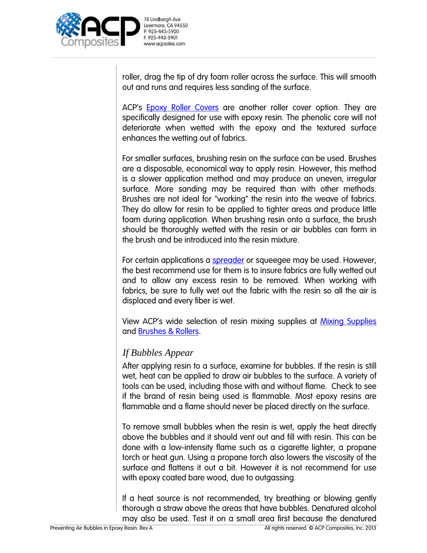

roller, drag the tip of dry foam roller across the surface. This will smooth out and runs and requires less sanding of the surface.

ACP's Epoxy Roller Covers are another roller cover option. They are specifically designed for use with epoxy resin. The phenolic core will not deteriorate when wetted with the epoxy and the textured surface enhances the wetting out of fabrics.

For smaller surfaces, brushing resin on the surface can be used. Brushes are a disposable, economical way to apply resin. However, this method is a slower application method and may produce an uneven, irregular surface. More sanding may be required than with other methods. Brushes are not ideal for "working" the resin into the weave of fabrics. They do allow for resin to be applied to tighter areas and produce little foam during application. When brushing resin onto a surface, the brush should be thoroughly wetted with the resin or air bubbles can form in the brush and be introduced into the resin mixture.

For certain applications a spreader or squeegee may be used. However, the best recommend use for them is to insure fabrics are fully wetted out and to allow any excess resin to be removed. When working with fabrics, be sure to fully wet out the fabric with the resin so all the air is displaced and every fiber is wet.

View ACP's wide selection of resin mixing supplies at Mixing Supplies and Brushes & Rollers.

#### *If Bubbles Appear*

After applying resin to a surface, examine for bubbles. If the resin is still wet, heat can be applied to draw air bubbles to the surface. A variety of tools can be used, including those with and without flame. Check to see if the brand of resin being used is flammable. Most epoxy resins are flammable and a flame should never be placed directly on the surface.

To remove small bubbles when the resin is wet, apply the heat directly above the bubbles and it should vent out and fill with resin. This can be done with a low-intensity flame such as a cigarette lighter, a propane torch or heat gun. Using a propane torch also lowers the viscosity of the surface and flattens it out a bit. However it is not recommend for use with epoxy coated bare wood, due to outgassing.

If a heat source is not recommended, try breathing or blowing gently thorough a straw above the areas that have bubbles. Denatured alcohol may also be used. Test it on a small area first because the denatured